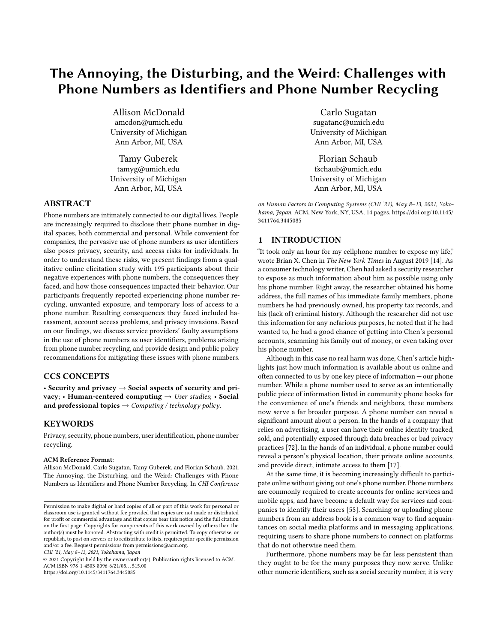# The Annoying, the Disturbing, and the Weird: Challenges with Phone Numbers as Identifiers and Phone Number Recycling

Allison McDonald amcdon@umich.edu University of Michigan Ann Arbor, MI, USA

Tamy Guberek tamyg@umich.edu University of Michigan Ann Arbor, MI, USA

## ABSTRACT

Phone numbers are intimately connected to our digital lives. People are increasingly required to disclose their phone number in digital spaces, both commercial and personal. While convenient for companies, the pervasive use of phone numbers as user identifiers also poses privacy, security, and access risks for individuals. In order to understand these risks, we present findings from a qualitative online elicitation study with 195 participants about their negative experiences with phone numbers, the consequences they faced, and how those consequences impacted their behavior. Our participants frequently reported experiencing phone number recycling, unwanted exposure, and temporary loss of access to a phone number. Resulting consequences they faced included harassment, account access problems, and privacy invasions. Based on our findings, we discuss service providers' faulty assumptions in the use of phone numbers as user identifiers, problems arising from phone number recycling, and provide design and public policy recommendations for mitigating these issues with phone numbers.

# CCS CONCEPTS

• Security and privacy  $\rightarrow$  Social aspects of security and privacy; • Human-centered computing  $\rightarrow$  User studies; • Social and professional topics  $\rightarrow$  Computing / technology policy.

# **KEYWORDS**

Privacy, security, phone numbers, user identification, phone number recycling.

## ACM Reference Format:

Allison McDonald, Carlo Sugatan, Tamy Guberek, and Florian Schaub. 2021. The Annoying, the Disturbing, and the Weird: Challenges with Phone Numbers as Identifiers and Phone Number Recycling. In CHI Conference

CHI '21, May 8–13, 2021, Yokohama, Japan

© 2021 Copyright held by the owner/author(s). Publication rights licensed to ACM. ACM ISBN 978-1-4503-8096-6/21/05. . . \$15.00 <https://doi.org/10.1145/3411764.3445085>

Carlo Sugatan sugatanc@umich.edu University of Michigan Ann Arbor, MI, USA

Florian Schaub fschaub@umich.edu University of Michigan Ann Arbor, MI, USA

on Human Factors in Computing Systems (CHI '21), May 8–13, 2021, Yoko-hama, Japan. ACM, New York, NY, USA, [14](#page-13-0) pages. [https://doi.org/10.1145/](https://doi.org/10.1145/3411764.3445085) [3411764.3445085](https://doi.org/10.1145/3411764.3445085)

## 1 INTRODUCTION

"It took only an hour for my cellphone number to expose my life," wrote Brian X. Chen in The New York Times in August 2019 [\[14\]](#page-11-0). As a consumer technology writer, Chen had asked a security researcher to expose as much information about him as possible using only his phone number. Right away, the researcher obtained his home address, the full names of his immediate family members, phone numbers he had previously owned, his property tax records, and his (lack of) criminal history. Although the researcher did not use this information for any nefarious purposes, he noted that if he had wanted to, he had a good chance of getting into Chen's personal accounts, scamming his family out of money, or even taking over his phone number.

Although in this case no real harm was done, Chen's article highlights just how much information is available about us online and often connected to us by one key piece of information — our phone number. While a phone number used to serve as an intentionally public piece of information listed in community phone books for the convenience of one's friends and neighbors, these numbers now serve a far broader purpose. A phone number can reveal a significant amount about a person. In the hands of a company that relies on advertising, a user can have their online identity tracked, sold, and potentially exposed through data breaches or bad privacy practices [\[72\]](#page-12-0). In the hands of an individual, a phone number could reveal a person's physical location, their private online accounts, and provide direct, intimate access to them [\[17\]](#page-11-1).

At the same time, it is becoming increasingly difficult to participate online without giving out one's phone number. Phone numbers are commonly required to create accounts for online services and mobile apps, and have become a default way for services and companies to identify their users [\[55\]](#page-12-1). Searching or uploading phone numbers from an address book is a common way to find acquaintances on social media platforms and in messaging applications, requiring users to share phone numbers to connect on platforms that do not otherwise need them.

Furthermore, phone numbers may be far less persistent than they ought to be for the many purposes they now serve. Unlike other numeric identifiers, such as a social security number, it is very

Permission to make digital or hard copies of all or part of this work for personal or classroom use is granted without fee provided that copies are not made or distributed for profit or commercial advantage and that copies bear this notice and the full citation on the first page. Copyrights for components of this work owned by others than the author(s) must be honored. Abstracting with credit is permitted. To copy otherwise, or republish, to post on servers or to redistribute to lists, requires prior specific permission and/or a fee. Request permissions from permissions@acm.org.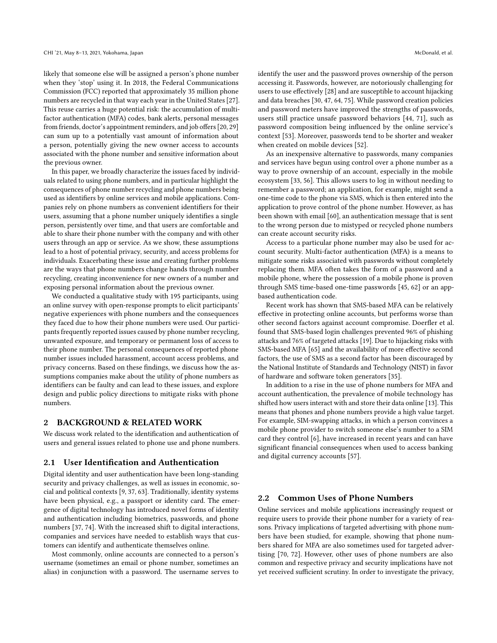likely that someone else will be assigned a person's phone number when they 'stop' using it. In 2018, the Federal Communications Commission (FCC) reported that approximately 35 million phone numbers are recycled in that way each year in the United States [\[27\]](#page-12-2). This reuse carries a huge potential risk: the accumulation of multifactor authentication (MFA) codes, bank alerts, personal messages from friends, doctor's appointment reminders, and job offers [\[20,](#page-11-2) [29\]](#page-12-3) can sum up to a potentially vast amount of information about a person, potentially giving the new owner access to accounts associated with the phone number and sensitive information about the previous owner.

In this paper, we broadly characterize the issues faced by individuals related to using phone numbers, and in particular highlight the consequences of phone number recycling and phone numbers being used as identifiers by online services and mobile applications. Companies rely on phone numbers as convenient identifiers for their users, assuming that a phone number uniquely identifies a single person, persistently over time, and that users are comfortable and able to share their phone number with the company and with other users through an app or service. As we show, these assumptions lead to a host of potential privacy, security, and access problems for individuals. Exacerbating these issue and creating further problems are the ways that phone numbers change hands through number recycling, creating inconvenience for new owners of a number and exposing personal information about the previous owner.

We conducted a qualitative study with 195 participants, using an online survey with open-response prompts to elicit participants' negative experiences with phone numbers and the consequences they faced due to how their phone numbers were used. Our participants frequently reported issues caused by phone number recycling, unwanted exposure, and temporary or permanent loss of access to their phone number. The personal consequences of reported phone number issues included harassment, account access problems, and privacy concerns. Based on these findings, we discuss how the assumptions companies make about the utility of phone numbers as identifiers can be faulty and can lead to these issues, and explore design and public policy directions to mitigate risks with phone numbers.

#### 2 BACKGROUND & RELATED WORK

We discuss work related to the identification and authentication of users and general issues related to phone use and phone numbers.

#### 2.1 User Identification and Authentication

Digital identity and user authentication have been long-standing security and privacy challenges, as well as issues in economic, social and political contexts [\[9,](#page-11-3) [37,](#page-12-4) [63\]](#page-12-5). Traditionally, identity systems have been physical, e.g., a passport or identity card. The emergence of digital technology has introduced novel forms of identity and authentication including biometrics, passwords, and phone numbers [\[37,](#page-12-4) [74\]](#page-13-1). With the increased shift to digital interactions, companies and services have needed to establish ways that customers can identify and authenticate themselves online.

Most commonly, online accounts are connected to a person's username (sometimes an email or phone number, sometimes an alias) in conjunction with a password. The username serves to identify the user and the password proves ownership of the person accessing it. Passwords, however, are notoriously challenging for users to use effectively [\[28\]](#page-12-6) and are susceptible to account hijacking and data breaches [\[30,](#page-12-7) [47,](#page-12-8) [64,](#page-12-9) [75\]](#page-13-2). While password creation policies and password meters have improved the strengths of passwords, users still practice unsafe password behaviors [\[44,](#page-12-10) [71\]](#page-12-11), such as password composition being influenced by the online service's context [\[53\]](#page-12-12). Moreover, passwords tend to be shorter and weaker when created on mobile devices [\[52\]](#page-12-13).

As an inexpensive alternative to passwords, many companies and services have begun using control over a phone number as a way to prove ownership of an account, especially in the mobile ecosystem [\[33,](#page-12-14) [56\]](#page-12-15). This allows users to log in without needing to remember a password; an application, for example, might send a one-time code to the phone via SMS, which is then entered into the application to prove control of the phone number. However, as has been shown with email [\[60\]](#page-12-16), an authentication message that is sent to the wrong person due to mistyped or recycled phone numbers can create account security risks.

Access to a particular phone number may also be used for account security. Multi-factor authentication (MFA) is a means to mitigate some risks associated with passwords without completely replacing them. MFA often takes the form of a password and a mobile phone, where the possession of a mobile phone is proven through SMS time-based one-time passwords [\[45,](#page-12-17) [62\]](#page-12-18) or an appbased authentication code.

Recent work has shown that SMS-based MFA can be relatively effective in protecting online accounts, but performs worse than other second factors against account compromise. Doerfler et al. found that SMS-based login challenges prevented 96% of phishing attacks and 76% of targeted attacks [\[19\]](#page-11-4). Due to hijacking risks with SMS-based MFA [\[65\]](#page-12-19) and the availability of more effective second factors, the use of SMS as a second factor has been discouraged by the National Institute of Standards and Technology (NIST) in favor of hardware and software token generators [\[35\]](#page-12-20).

In addition to a rise in the use of phone numbers for MFA and account authentication, the prevalence of mobile technology has shifted how users interact with and store their data online [\[13\]](#page-11-5). This means that phones and phone numbers provide a high value target. For example, SIM-swapping attacks, in which a person convinces a mobile phone provider to switch someone else's number to a SIM card they control [\[6\]](#page-11-6), have increased in recent years and can have significant financial consequences when used to access banking and digital currency accounts [\[57\]](#page-12-21).

#### <span id="page-1-0"></span>2.2 Common Uses of Phone Numbers

Online services and mobile applications increasingly request or require users to provide their phone number for a variety of reasons. Privacy implications of targeted advertising with phone numbers have been studied, for example, showing that phone numbers shared for MFA are also sometimes used for targeted advertising [\[70,](#page-12-22) [72\]](#page-12-0). However, other uses of phone numbers are also common and respective privacy and security implications have not yet received sufficient scrutiny. In order to investigate the privacy,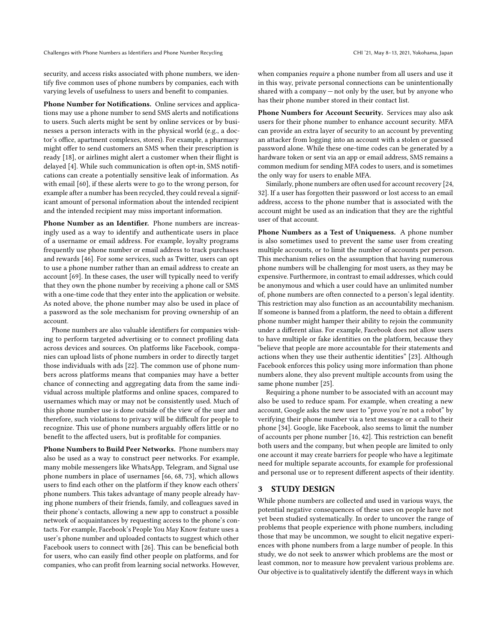security, and access risks associated with phone numbers, we identify five common uses of phone numbers by companies, each with varying levels of usefulness to users and benefit to companies.

Phone Number for Notifications. Online services and applications may use a phone number to send SMS alerts and notifications to users. Such alerts might be sent by online services or by businesses a person interacts with in the physical world (e.g., a doctor's office, apartment complexes, stores). For example, a pharmacy might offer to send customers an SMS when their prescription is ready [\[18\]](#page-11-7), or airlines might alert a customer when their flight is delayed [\[4\]](#page-11-8). While such communication is often opt-in, SMS notifications can create a potentially sensitive leak of information. As with email [\[60\]](#page-12-16), if these alerts were to go to the wrong person, for example after a number has been recycled, they could reveal a significant amount of personal information about the intended recipient and the intended recipient may miss important information.

Phone Number as an Identifier. Phone numbers are increasingly used as a way to identify and authenticate users in place of a username or email address. For example, loyalty programs frequently use phone number or email address to track purchases and rewards [\[46\]](#page-12-23). For some services, such as Twitter, users can opt to use a phone number rather than an email address to create an account [\[69\]](#page-12-24). In these cases, the user will typically need to verify that they own the phone number by receiving a phone call or SMS with a one-time code that they enter into the application or website. As noted above, the phone number may also be used in place of a password as the sole mechanism for proving ownership of an account.

Phone numbers are also valuable identifiers for companies wishing to perform targeted advertising or to connect profiling data across devices and sources. On platforms like Facebook, companies can upload lists of phone numbers in order to directly target those individuals with ads [\[22\]](#page-11-9). The common use of phone numbers across platforms means that companies may have a better chance of connecting and aggregating data from the same individual across multiple platforms and online spaces, compared to usernames which may or may not be consistently used. Much of this phone number use is done outside of the view of the user and therefore, such violations to privacy will be difficult for people to recognize. This use of phone numbers arguably offers little or no benefit to the affected users, but is profitable for companies.

Phone Numbers to Build Peer Networks. Phone numbers may also be used as a way to construct peer networks. For example, many mobile messengers like WhatsApp, Telegram, and Signal use phone numbers in place of usernames [\[66,](#page-12-25) [68,](#page-12-26) [73\]](#page-13-3), which allows users to find each other on the platform if they know each others' phone numbers. This takes advantage of many people already having phone numbers of their friends, family, and colleagues saved in their phone's contacts, allowing a new app to construct a possible network of acquaintances by requesting access to the phone's contacts. For example, Facebook's People You May Know feature uses a user's phone number and uploaded contacts to suggest which other Facebook users to connect with [\[26\]](#page-12-27). This can be beneficial both for users, who can easily find other people on platforms, and for companies, who can profit from learning social networks. However, when companies require a phone number from all users and use it in this way, private personal connections can be unintentionally shared with a company — not only by the user, but by anyone who has their phone number stored in their contact list.

Phone Numbers for Account Security. Services may also ask users for their phone number to enhance account security. MFA can provide an extra layer of security to an account by preventing an attacker from logging into an account with a stolen or guessed password alone. While these one-time codes can be generated by a hardware token or sent via an app or email address, SMS remains a common medium for sending MFA codes to users, and is sometimes the only way for users to enable MFA.

Similarly, phone numbers are often used for account recovery [\[24,](#page-11-10) [32\]](#page-12-28). If a user has forgotten their password or lost access to an email address, access to the phone number that is associated with the account might be used as an indication that they are the rightful user of that account.

Phone Numbers as a Test of Uniqueness. A phone number is also sometimes used to prevent the same user from creating multiple accounts, or to limit the number of accounts per person. This mechanism relies on the assumption that having numerous phone numbers will be challenging for most users, as they may be expensive. Furthermore, in contrast to email addresses, which could be anonymous and which a user could have an unlimited number of, phone numbers are often connected to a person's legal identity. This restriction may also function as an accountability mechanism. If someone is banned from a platform, the need to obtain a different phone number might hamper their ability to rejoin the community under a different alias. For example, Facebook does not allow users to have multiple or fake identities on the platform, because they "believe that people are more accountable for their statements and actions when they use their authentic identities" [\[23\]](#page-11-11). Although Facebook enforces this policy using more information than phone numbers alone, they also prevent multiple accounts from using the same phone number [\[25\]](#page-11-12).

Requiring a phone number to be associated with an account may also be used to reduce spam. For example, when creating a new account, Google asks the new user to "prove you're not a robot" by verifying their phone number via a text message or a call to their phone [\[34\]](#page-12-29). Google, like Facebook, also seems to limit the number of accounts per phone number [\[16,](#page-11-13) [42\]](#page-12-30). This restriction can benefit both users and the company, but when people are limited to only one account it may create barriers for people who have a legitimate need for multiple separate accounts, for example for professional and personal use or to represent different aspects of their identity.

#### 3 STUDY DESIGN

While phone numbers are collected and used in various ways, the potential negative consequences of these uses on people have not yet been studied systematically. In order to uncover the range of problems that people experience with phone numbers, including those that may be uncommon, we sought to elicit negative experiences with phone numbers from a large number of people. In this study, we do not seek to answer which problems are the most or least common, nor to measure how prevalent various problems are. Our objective is to qualitatively identify the different ways in which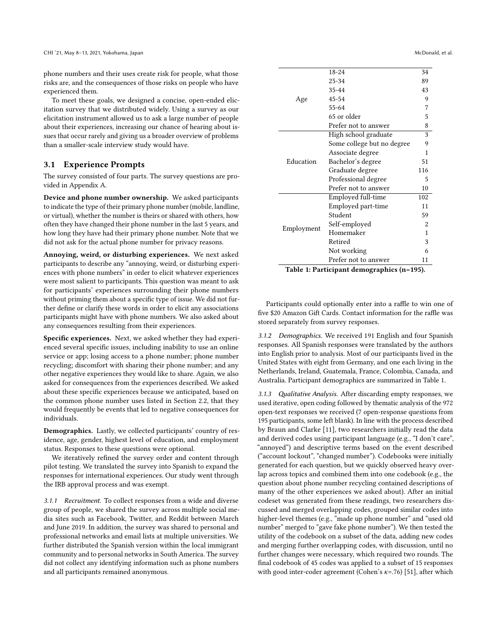phone numbers and their uses create risk for people, what those risks are, and the consequences of those risks on people who have experienced them.

To meet these goals, we designed a concise, open-ended elicitation survey that we distributed widely. Using a survey as our elicitation instrument allowed us to ask a large number of people about their experiences, increasing our chance of hearing about issues that occur rarely and giving us a broader overview of problems than a smaller-scale interview study would have.

## 3.1 Experience Prompts

The survey consisted of four parts. The survey questions are provided in Appendix [A.](#page-13-4)

Device and phone number ownership. We asked participants to indicate the type of their primary phone number (mobile, landline, or virtual), whether the number is theirs or shared with others, how often they have changed their phone number in the last 5 years, and how long they have had their primary phone number. Note that we did not ask for the actual phone number for privacy reasons.

Annoying, weird, or disturbing experiences. We next asked participants to describe any "annoying, weird, or disturbing experiences with phone numbers" in order to elicit whatever experiences were most salient to participants. This question was meant to ask for participants' experiences surrounding their phone numbers without priming them about a specific type of issue. We did not further define or clarify these words in order to elicit any associations participants might have with phone numbers. We also asked about any consequences resulting from their experiences.

Specific experiences. Next, we asked whether they had experienced several specific issues, including inability to use an online service or app; losing access to a phone number; phone number recycling; discomfort with sharing their phone number; and any other negative experiences they would like to share. Again, we also asked for consequences from the experiences described. We asked about these specific experiences because we anticipated, based on the common phone number uses listed in Section [2.2,](#page-1-0) that they would frequently be events that led to negative consequences for individuals.

Demographics. Lastly, we collected participants' country of residence, age, gender, highest level of education, and employment status. Responses to these questions were optional.

We iteratively refined the survey order and content through pilot testing. We translated the survey into Spanish to expand the responses for international experiences. Our study went through the IRB approval process and was exempt.

3.1.1 Recruitment. To collect responses from a wide and diverse group of people, we shared the survey across multiple social media sites such as Facebook, Twitter, and Reddit between March and June 2019. In addition, the survey was shared to personal and professional networks and email lists at multiple universities. We further distributed the Spanish version within the local immigrant community and to personal networks in South America. The survey did not collect any identifying information such as phone numbers and all participants remained anonymous.

<span id="page-3-0"></span>

|            | 18-24                      | 34             |
|------------|----------------------------|----------------|
|            | $25 - 34$                  | 89             |
| Age        | 35-44                      | 43             |
|            | $45 - 54$                  | 9              |
|            | 55-64                      | 7              |
|            | 65 or older                | 5              |
|            | Prefer not to answer       | 8              |
|            | High school graduate       | 3              |
| Education  | Some college but no degree | 9              |
|            | Associate degree           | 1              |
|            | Bachelor's degree          | 51             |
|            | Graduate degree            | 116            |
|            | Professional degree        | 5              |
|            | Prefer not to answer       | 10             |
| Employment | Employed full-time         | 102            |
|            | Employed part-time         | 11             |
|            | Student                    | 59             |
|            | Self-employed              | $\overline{2}$ |
|            | Homemaker                  | 1              |
|            | Retired                    | 3              |
|            |                            |                |
|            | Not working                | 6              |

Table 1: Participant demographics (n=195).

Participants could optionally enter into a raffle to win one of five \$20 Amazon Gift Cards. Contact information for the raffle was stored separately from survey responses.

3.1.2 Demographics. We received 191 English and four Spanish responses. All Spanish responses were translated by the authors into English prior to analysis. Most of our participants lived in the United States with eight from Germany, and one each living in the Netherlands, Ireland, Guatemala, France, Colombia, Canada, and Australia. Participant demographics are summarized in Table [1.](#page-3-0)

3.1.3 Qualitative Analysis. After discarding empty responses, we used iterative, open coding followed by thematic analysis of the 972 open-text responses we received (7 open-response questions from 195 participants, some left blank). In line with the process described by Braun and Clarke [\[11\]](#page-11-14), two researchers initially read the data and derived codes using participant language (e.g., "I don't care", "annoyed") and descriptive terms based on the event described ("account lockout", "changed number"). Codebooks were initially generated for each question, but we quickly observed heavy overlap across topics and combined them into one codebook (e.g., the question about phone number recycling contained descriptions of many of the other experiences we asked about). After an initial codeset was generated from these readings, two researchers discussed and merged overlapping codes, grouped similar codes into higher-level themes (e.g., "made up phone number" and "used old number" merged to "gave fake phone number"). We then tested the utility of the codebook on a subset of the data, adding new codes and merging further overlapping codes, with discussion, until no further changes were necessary, which required two rounds. The final codebook of 45 codes was applied to a subset of 15 responses with good inter-coder agreement (Cohen's  $\kappa$ =.76) [\[51\]](#page-12-31), after which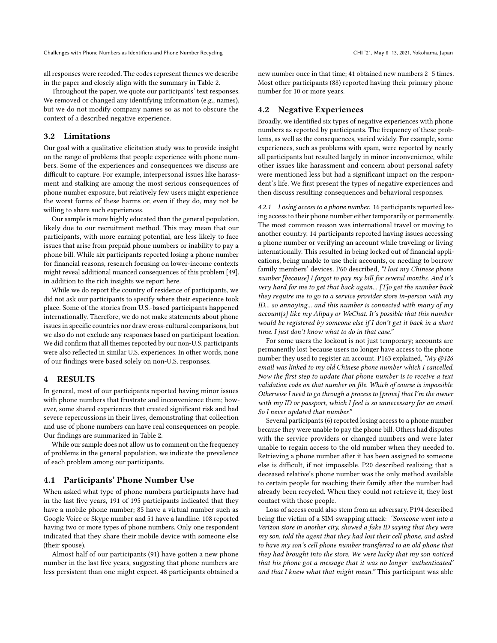all responses were recoded. The codes represent themes we describe in the paper and closely align with the summary in Table [2.](#page-5-0)

Throughout the paper, we quote our participants' text responses. We removed or changed any identifying information (e.g., names), but we do not modify company names so as not to obscure the context of a described negative experience.

#### 3.2 Limitations

Our goal with a qualitative elicitation study was to provide insight on the range of problems that people experience with phone numbers. Some of the experiences and consequences we discuss are difficult to capture. For example, interpersonal issues like harassment and stalking are among the most serious consequences of phone number exposure, but relatively few users might experience the worst forms of these harms or, even if they do, may not be willing to share such experiences.

Our sample is more highly educated than the general population, likely due to our recruitment method. This may mean that our participants, with more earning potential, are less likely to face issues that arise from prepaid phone numbers or inability to pay a phone bill. While six participants reported losing a phone number for financial reasons, research focusing on lower-income contexts might reveal additional nuanced consequences of this problem [\[49\]](#page-12-32), in addition to the rich insights we report here.

While we do report the country of residence of participants, we did not ask our participants to specify where their experience took place. Some of the stories from U.S.-based participants happened internationally. Therefore, we do not make statements about phone issues in specific countries nor draw cross-cultural comparisons, but we also do not exclude any responses based on participant location. We did confirm that all themes reported by our non-U.S. participants were also reflected in similar U.S. experiences. In other words, none of our findings were based solely on non-U.S. responses.

## 4 RESULTS

In general, most of our participants reported having minor issues with phone numbers that frustrate and inconvenience them; however, some shared experiences that created significant risk and had severe repercussions in their lives, demonstrating that collection and use of phone numbers can have real consequences on people. Our findings are summarized in Table [2.](#page-5-0)

While our sample does not allow us to comment on the frequency of problems in the general population, we indicate the prevalence of each problem among our participants.

## 4.1 Participants' Phone Number Use

When asked what type of phone numbers participants have had in the last five years, 191 of 195 participants indicated that they have a mobile phone number; 85 have a virtual number such as Google Voice or Skype number and 51 have a landline. 108 reported having two or more types of phone numbers. Only one respondent indicated that they share their mobile device with someone else (their spouse).

Almost half of our participants (91) have gotten a new phone number in the last five years, suggesting that phone numbers are less persistent than one might expect. 48 participants obtained a new number once in that time; 41 obtained new numbers 2–5 times. Most other participants (88) reported having their primary phone number for 10 or more years.

## 4.2 Negative Experiences

Broadly, we identified six types of negative experiences with phone numbers as reported by participants. The frequency of these problems, as well as the consequences, varied widely. For example, some experiences, such as problems with spam, were reported by nearly all participants but resulted largely in minor inconvenience, while other issues like harassment and concern about personal safety were mentioned less but had a significant impact on the respondent's life. We first present the types of negative experiences and then discuss resulting consequences and behavioral responses.

4.2.1 Losing access to a phone number. 16 participants reported losing access to their phone number either temporarily or permanently. The most common reason was international travel or moving to another country. 14 participants reported having issues accessing a phone number or verifying an account while traveling or living internationally. This resulted in being locked out of financial applications, being unable to use their accounts, or needing to borrow family members' devices. P60 described, "I lost my Chinese phone number [because] I forgot to pay my bill for several months. And it's very hard for me to get that back again... [T]o get the number back they require me to go to a service provider store in-person with my ID... so annoying... and this number is connected with many of  $m\gamma$ account[s] like my Alipay or WeChat. It's possible that this number would be registered by someone else if I don't get it back in a short time. I just don't know what to do in that case."

For some users the lockout is not just temporary; accounts are permanently lost because users no longer have access to the phone number they used to register an account. P163 explained, " $My @ 126$ email was linked to my old Chinese phone number which I cancelled. Now the first step to update that phone number is to receive a text validation code on that number on file. Which of course is impossible. Otherwise I need to go through a process to [prove] that I'm the owner with my ID or passport, which I feel is so unnecessary for an email. So I never updated that number."

Several participants (6) reported losing access to a phone number because they were unable to pay the phone bill. Others had disputes with the service providers or changed numbers and were later unable to regain access to the old number when they needed to. Retrieving a phone number after it has been assigned to someone else is difficult, if not impossible. P20 described realizing that a deceased relative's phone number was the only method available to certain people for reaching their family after the number had already been recycled. When they could not retrieve it, they lost contact with those people.

Loss of access could also stem from an adversary. P194 described being the victim of a SIM-swapping attack: "Someone went into a Verizon store in another city, showed a fake ID saying that they were my son, told the agent that they had lost their cell phone, and asked to have my son's cell phone number transferred to an old phone that they had brought into the store. We were lucky that my son noticed that his phone got a message that it was no longer 'authenticated' and that I knew what that might mean." This participant was able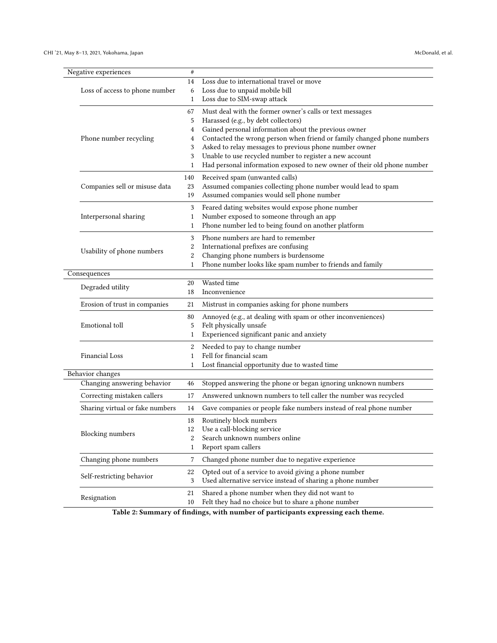<span id="page-5-0"></span>

|  | Negative experiences                            | #            |                                                                                                                   |
|--|-------------------------------------------------|--------------|-------------------------------------------------------------------------------------------------------------------|
|  |                                                 | 14           | Loss due to international travel or move                                                                          |
|  | Loss of access to phone number                  | 6            | Loss due to unpaid mobile bill                                                                                    |
|  |                                                 | 1            | Loss due to SIM-swap attack                                                                                       |
|  | Phone number recycling                          | 67           | Must deal with the former owner's calls or text messages                                                          |
|  |                                                 | 5            | Harassed (e.g., by debt collectors)                                                                               |
|  |                                                 | 4            | Gained personal information about the previous owner                                                              |
|  |                                                 | 4            | Contacted the wrong person when friend or family changed phone numbers                                            |
|  |                                                 | 3<br>3       | Asked to relay messages to previous phone number owner<br>Unable to use recycled number to register a new account |
|  |                                                 | 1            | Had personal information exposed to new owner of their old phone number                                           |
|  |                                                 |              |                                                                                                                   |
|  | Companies sell or misuse data                   | 140<br>23    | Received spam (unwanted calls)<br>Assumed companies collecting phone number would lead to spam                    |
|  |                                                 | 19           | Assumed companies would sell phone number                                                                         |
|  |                                                 |              |                                                                                                                   |
|  | Interpersonal sharing                           | 3<br>1       | Feared dating websites would expose phone number<br>Number exposed to someone through an app                      |
|  |                                                 | 1            | Phone number led to being found on another platform                                                               |
|  |                                                 | 3            | Phone numbers are hard to remember                                                                                |
|  |                                                 | 2            | International prefixes are confusing                                                                              |
|  | Usability of phone numbers                      | 2            | Changing phone numbers is burdensome                                                                              |
|  |                                                 | $\mathbf{1}$ | Phone number looks like spam number to friends and family                                                         |
|  | Consequences                                    |              |                                                                                                                   |
|  | Degraded utility                                | 20           | Wasted time                                                                                                       |
|  |                                                 | 18           | Inconvenience                                                                                                     |
|  | Erosion of trust in companies                   | 21           | Mistrust in companies asking for phone numbers                                                                    |
|  |                                                 | 80           | Annoyed (e.g., at dealing with spam or other inconveniences)                                                      |
|  | Emotional toll                                  | 5            | Felt physically unsafe                                                                                            |
|  |                                                 | 1            | Experienced significant panic and anxiety                                                                         |
|  |                                                 | 2            | Needed to pay to change number                                                                                    |
|  | <b>Financial Loss</b>                           | 1            | Fell for financial scam                                                                                           |
|  |                                                 | 1            | Lost financial opportunity due to wasted time                                                                     |
|  | Behavior changes<br>Changing answering behavior |              |                                                                                                                   |
|  |                                                 | 46           | Stopped answering the phone or began ignoring unknown numbers                                                     |
|  | Correcting mistaken callers                     | 17           | Answered unknown numbers to tell caller the number was recycled                                                   |
|  | Sharing virtual or fake numbers                 | 14           | Gave companies or people fake numbers instead of real phone number                                                |
|  | <b>Blocking</b> numbers                         | 18           | Routinely block numbers                                                                                           |
|  |                                                 | 12           | Use a call-blocking service                                                                                       |
|  |                                                 | 2            | Search unknown numbers online                                                                                     |
|  |                                                 | 1            | Report spam callers                                                                                               |
|  | Changing phone numbers                          | 7            | Changed phone number due to negative experience                                                                   |
|  | Self-restricting behavior                       | 22           | Opted out of a service to avoid giving a phone number                                                             |
|  |                                                 | 3            | Used alternative service instead of sharing a phone number                                                        |
|  | Resignation                                     | 21           | Shared a phone number when they did not want to                                                                   |
|  |                                                 | 10           | Felt they had no choice but to share a phone number                                                               |

Table 2: Summary of findings, with number of participants expressing each theme.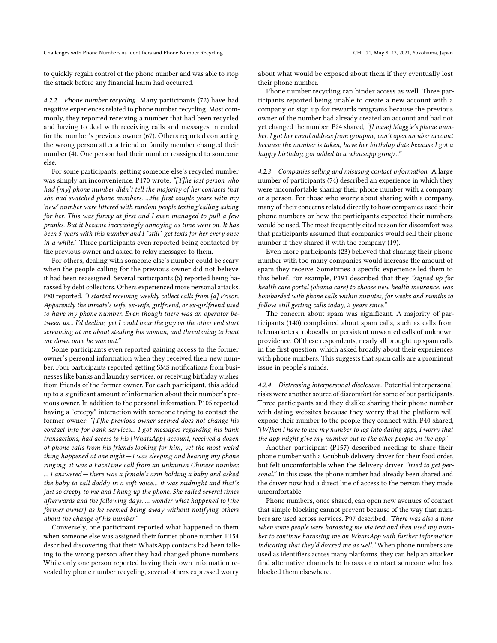to quickly regain control of the phone number and was able to stop the attack before any financial harm had occurred.

4.2.2 Phone number recycling. Many participants (72) have had negative experiences related to phone number recycling. Most commonly, they reported receiving a number that had been recycled and having to deal with receiving calls and messages intended for the number's previous owner (67). Others reported contacting the wrong person after a friend or family member changed their number (4). One person had their number reassigned to someone else.

For some participants, getting someone else's recycled number was simply an inconvenience. P170 wrote, "[T]he last person who had [my] phone number didn't tell the majority of her contacts that she had switched phone numbers. ...the first couple years with my 'new' number were littered with random people texting/calling asking for her. This was funny at first and I even managed to pull a few pranks. But it became increasingly annoying as time went on. It has been 5 years with this number and I \*still\* get texts for her every once in a while." Three participants even reported being contacted by the previous owner and asked to relay messages to them.

For others, dealing with someone else's number could be scary when the people calling for the previous owner did not believe it had been reassigned. Several participants (5) reported being harassed by debt collectors. Others experienced more personal attacks. P80 reported, "I started receiving weekly collect calls from [a] Prison. Apparently the inmate's wife, ex-wife, girlfriend, or ex-girlfriend used to have my phone number. Even though there was an operator between us... I'd decline, yet I could hear the guy on the other end start screaming at me about stealing his woman, and threatening to hunt me down once he was out."

Some participants even reported gaining access to the former owner's personal information when they received their new number. Four participants reported getting SMS notifications from businesses like banks and laundry services, or receiving birthday wishes from friends of the former owner. For each participant, this added up to a significant amount of information about their number's previous owner. In addition to the personal information, P105 reported having a "creepy" interaction with someone trying to contact the former owner: "[T]he previous owner seemed does not change his contact info for bank services... I got messages regarding his bank transactions, had access to his [WhatsApp] account, received a dozen of phone calls from his friends looking for him, yet the most weird thing happened at one night  $-I$  was sleeping and hearing my phone ringing. it was a FaceTime call from an unknown Chinese number. ... I answered — there was a female's arm holding a baby and asked the baby to call daddy in a soft voice... it was midnight and that's just so creepy to me and I hung up the phone. She called several times afterwards and the following days. ... wonder what happened to [the former owner] as he seemed being away without notifying others about the change of his number."

Conversely, one participant reported what happened to them when someone else was assigned their former phone number. P154 described discovering that their WhatsApp contacts had been talking to the wrong person after they had changed phone numbers. While only one person reported having their own information revealed by phone number recycling, several others expressed worry

about what would be exposed about them if they eventually lost their phone number.

Phone number recycling can hinder access as well. Three participants reported being unable to create a new account with a company or sign up for rewards programs because the previous owner of the number had already created an account and had not yet changed the number. P24 shared, "[I have] Maggie's phone number. I got her email address from groupme, can't open an uber account because the number is taken, have her birthday date because I got a happy birthday, got added to a whatsapp group..."

4.2.3 Companies selling and misusing contact information. A large number of participants (74) described an experience in which they were uncomfortable sharing their phone number with a company or a person. For those who worry about sharing with a company, many of their concerns related directly to how companies used their phone numbers or how the participants expected their numbers would be used. The most frequently cited reason for discomfort was that participants assumed that companies would sell their phone number if they shared it with the company (19).

Even more participants (23) believed that sharing their phone number with too many companies would increase the amount of spam they receive. Sometimes a specific experience led them to this belief. For example, P191 described that they "signed up for health care portal (obama care) to choose new health insurance. was bombarded with phone calls within minutes, for weeks and months to follow. still getting calls today, 2 years since."

The concern about spam was significant. A majority of participants (140) complained about spam calls, such as calls from telemarketers, robocalls, or persistent unwanted calls of unknown providence. Of these respondents, nearly all brought up spam calls in the first question, which asked broadly about their experiences with phone numbers. This suggests that spam calls are a prominent issue in people's minds.

<span id="page-6-0"></span>4.2.4 Distressing interpersonal disclosure. Potential interpersonal risks were another source of discomfort for some of our participants. Three participants said they dislike sharing their phone number with dating websites because they worry that the platform will expose their number to the people they connect with. P40 shared, "[W]hen I have to use my number to log into dating apps, I worry that the app might give my number out to the other people on the app."

Another participant (P157) described needing to share their phone number with a Grubhub delivery driver for their food order, but felt uncomfortable when the delivery driver "tried to get personal." In this case, the phone number had already been shared and the driver now had a direct line of access to the person they made uncomfortable.

Phone numbers, once shared, can open new avenues of contact that simple blocking cannot prevent because of the way that numbers are used across services. P97 described, "There was also a time when some people were harassing me via text and then used my number to continue harassing me on WhatsApp with further information indicating that they'd doxxed me as well." When phone numbers are used as identifiers across many platforms, they can help an attacker find alternative channels to harass or contact someone who has blocked them elsewhere.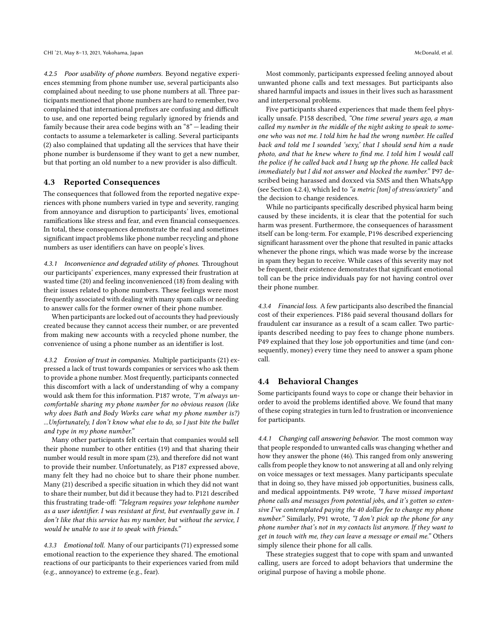4.2.5 Poor usability of phone numbers. Beyond negative experiences stemming from phone number use, several participants also complained about needing to use phone numbers at all. Three participants mentioned that phone numbers are hard to remember, two complained that international prefixes are confusing and difficult to use, and one reported being regularly ignored by friends and family because their area code begins with an "8" — leading their contacts to assume a telemarketer is calling. Several participants (2) also complained that updating all the services that have their phone number is burdensome if they want to get a new number, but that porting an old number to a new provider is also difficult.

## <span id="page-7-0"></span>4.3 Reported Consequences

The consequences that followed from the reported negative experiences with phone numbers varied in type and severity, ranging from annoyance and disruption to participants' lives, emotional ramifications like stress and fear, and even financial consequences. In total, these consequences demonstrate the real and sometimes significant impact problems like phone number recycling and phone numbers as user identifiers can have on people's lives.

4.3.1 Inconvenience and degraded utility of phones. Throughout our participants' experiences, many expressed their frustration at wasted time (20) and feeling inconvenienced (18) from dealing with their issues related to phone numbers. These feelings were most frequently associated with dealing with many spam calls or needing to answer calls for the former owner of their phone number.

When participants are locked out of accounts they had previously created because they cannot access their number, or are prevented from making new accounts with a recycled phone number, the convenience of using a phone number as an identifier is lost.

4.3.2 Erosion of trust in companies. Multiple participants (21) expressed a lack of trust towards companies or services who ask them to provide a phone number. Most frequently, participants connected this discomfort with a lack of understanding of why a company would ask them for this information. P187 wrote, "I'm always uncomfortable sharing my phone number for no obvious reason (like why does Bath and Body Works care what my phone number is?) ...Unfortunately, I don't know what else to do, so I just bite the bullet and type in my phone number."

Many other participants felt certain that companies would sell their phone number to other entities (19) and that sharing their number would result in more spam (23), and therefore did not want to provide their number. Unfortunately, as P187 expressed above, many felt they had no choice but to share their phone number. Many (21) described a specific situation in which they did not want to share their number, but did it because they had to. P121 described this frustrating trade-off: "Telegram requires your telephone number as a user identifier. I was resistant at first, but eventually gave in. I don't like that this service has my number, but without the service, I would be unable to use it to speak with friends."

4.3.3 Emotional toll. Many of our participants (71) expressed some emotional reaction to the experience they shared. The emotional reactions of our participants to their experiences varied from mild (e.g., annoyance) to extreme (e.g., fear).

Most commonly, participants expressed feeling annoyed about unwanted phone calls and text messages. But participants also shared harmful impacts and issues in their lives such as harassment and interpersonal problems.

Five participants shared experiences that made them feel physically unsafe. P158 described, "One time several years ago, a man called my number in the middle of the night asking to speak to someone who was not me. I told him he had the wrong number. He called back and told me I sounded 'sexy,' that I should send him a nude photo, and that he knew where to find me. I told him I would call the police if he called back and I hung up the phone. He called back immediately but I did not answer and blocked the number." P97 described being harassed and doxxed via SMS and then WhatsApp (see Section [4.2.4\)](#page-6-0), which led to "a metric [ton] of stress/anxiety" and the decision to change residences.

While no participants specifically described physical harm being caused by these incidents, it is clear that the potential for such harm was present. Furthermore, the consequences of harassment itself can be long-term. For example, P196 described experiencing significant harassment over the phone that resulted in panic attacks whenever the phone rings, which was made worse by the increase in spam they began to receive. While cases of this severity may not be frequent, their existence demonstrates that significant emotional toll can be the price individuals pay for not having control over their phone number.

4.3.4 Financial loss. A few participants also described the financial cost of their experiences. P186 paid several thousand dollars for fraudulent car insurance as a result of a scam caller. Two participants described needing to pay fees to change phone numbers. P49 explained that they lose job opportunities and time (and consequently, money) every time they need to answer a spam phone call.

#### 4.4 Behavioral Changes

Some participants found ways to cope or change their behavior in order to avoid the problems identified above. We found that many of these coping strategies in turn led to frustration or inconvenience for participants.

4.4.1 Changing call answering behavior. The most common way that people responded to unwanted calls was changing whether and how they answer the phone (46). This ranged from only answering calls from people they know to not answering at all and only relying on voice messages or text messages. Many participants speculate that in doing so, they have missed job opportunities, business calls, and medical appointments. P49 wrote, "I have missed important phone calls and messages from potential jobs, and it's gotten so extensive I've contemplated paying the 40 dollar fee to change my phone number." Similarly, P91 wrote, "I don't pick up the phone for any phone number that's not in my contacts list anymore. If they want to get in touch with me, they can leave a message or email me." Others simply silence their phone for all calls.

These strategies suggest that to cope with spam and unwanted calling, users are forced to adopt behaviors that undermine the original purpose of having a mobile phone.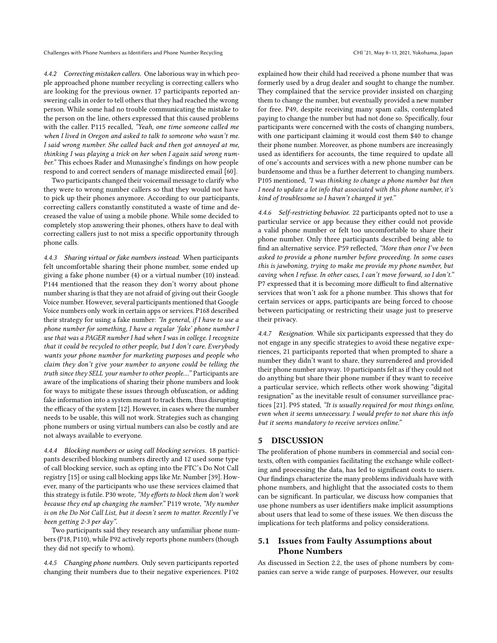4.4.2 Correcting mistaken callers. One laborious way in which people approached phone number recycling is correcting callers who are looking for the previous owner. 17 participants reported answering calls in order to tell others that they had reached the wrong person. While some had no trouble communicating the mistake to the person on the line, others expressed that this caused problems with the caller. P115 recalled, "Yeah, one time someone called me when I lived in Oregon and asked to talk to someone who wasn't me. I said wrong number. She called back and then got annoyed at me, thinking I was playing a trick on her when I again said wrong number." This echoes Rader and Munasinghe's findings on how people respond to and correct senders of manage misdirected email [\[60\]](#page-12-16).

Two participants changed their voicemail message to clarify who they were to wrong number callers so that they would not have to pick up their phones anymore. According to our participants, correcting callers constantly constituted a waste of time and decreased the value of using a mobile phone. While some decided to completely stop answering their phones, others have to deal with correcting callers just to not miss a specific opportunity through phone calls.

4.4.3 Sharing virtual or fake numbers instead. When participants felt uncomfortable sharing their phone number, some ended up giving a fake phone number (4) or a virtual number (10) instead. P144 mentioned that the reason they don't worry about phone number sharing is that they are not afraid of giving out their Google Voice number. However, several participants mentioned that Google Voice numbers only work in certain apps or services. P168 described their strategy for using a fake number: "In general, if I have to use a phone number for something, I have a regular 'fake' phone number I use that was a PAGER number I had when I was in college. I recognize that it could be recycled to other people, but I don't care. Everybody wants your phone number for marketing purposes and people who claim they don't give your number to anyone could be telling the truth since they SELL your number to other people...." Participants are aware of the implications of sharing their phone numbers and look for ways to mitigate these issues through obfuscation, or adding fake information into a system meant to track them, thus disrupting the efficacy of the system [\[12\]](#page-11-15). However, in cases where the number needs to be usable, this will not work. Strategies such as changing phone numbers or using virtual numbers can also be costly and are not always available to everyone.

4.4.4 Blocking numbers or using call blocking services. 18 participants described blocking numbers directly and 12 used some type of call blocking service, such as opting into the FTC's Do Not Call registry [\[15\]](#page-11-16) or using call blocking apps like Mr. Number [\[39\]](#page-12-33). However, many of the participants who use these services claimed that this strategy is futile. P30 wrote, "My efforts to block them don't work because they end up changing the number." P119 wrote, "My number is on the Do Not Call List, but it doesn't seem to matter. Recently I've been getting 2-3 per day".

Two participants said they research any unfamiliar phone numbers (P18, P110), while P92 actively reports phone numbers (though they did not specify to whom).

4.4.5 Changing phone numbers. Only seven participants reported changing their numbers due to their negative experiences. P102 explained how their child had received a phone number that was formerly used by a drug dealer and sought to change the number. They complained that the service provider insisted on charging them to change the number, but eventually provided a new number for free. P49, despite receiving many spam calls, contemplated paying to change the number but had not done so. Specifically, four participants were concerned with the costs of changing numbers, with one participant claiming it would cost them \$40 to change their phone number. Moreover, as phone numbers are increasingly used as identifiers for accounts, the time required to update all of one's accounts and services with a new phone number can be burdensome and thus be a further deterrent to changing numbers. P105 mentioned, "I was thinking to change a phone number but then I need to update a lot info that associated with this phone number, it's kind of troublesome so I haven't changed it yet."

4.4.6 Self-restricting behavior. 22 participants opted not to use a particular service or app because they either could not provide a valid phone number or felt too uncomfortable to share their phone number. Only three participants described being able to find an alternative service. P59 reflected, "More than once I've been asked to provide a phone number before proceeding. In some cases this is jawboning, trying to make me provide my phone number, but caving when I refuse. In other cases, I can't move forward, so I don't." P7 expressed that it is becoming more difficult to find alternative services that won't ask for a phone number. This shows that for certain services or apps, participants are being forced to choose between participating or restricting their usage just to preserve their privacy.

4.4.7 Resignation. While six participants expressed that they do not engage in any specific strategies to avoid these negative experiences, 21 participants reported that when prompted to share a number they didn't want to share, they surrendered and provided their phone number anyway. 10 participants felt as if they could not do anything but share their phone number if they want to receive a particular service, which reflects other work showing "digital resignation" as the inevitable result of consumer surveillance practices [\[21\]](#page-11-17). P95 stated, "It is usually required for most things online, even when it seems unnecessary. I would prefer to not share this info but it seems mandatory to receive services online."

#### 5 DISCUSSION

The proliferation of phone numbers in commercial and social contexts, often with companies facilitating the exchange while collecting and processing the data, has led to significant costs to users. Our findings characterize the many problems individuals have with phone numbers, and highlight that the associated costs to them can be significant. In particular, we discuss how companies that use phone numbers as user identifiers make implicit assumptions about users that lead to some of these issues. We then discuss the implications for tech platforms and policy considerations.

# 5.1 Issues from Faulty Assumptions about Phone Numbers

As discussed in Section [2.2,](#page-1-0) the uses of phone numbers by companies can serve a wide range of purposes. However, our results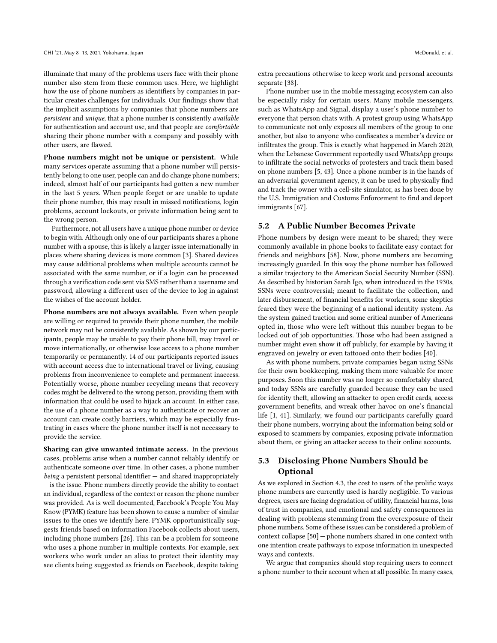illuminate that many of the problems users face with their phone number also stem from these common uses. Here, we highlight how the use of phone numbers as identifiers by companies in particular creates challenges for individuals. Our findings show that the implicit assumptions by companies that phone numbers are persistent and unique, that a phone number is consistently available for authentication and account use, and that people are comfortable sharing their phone number with a company and possibly with other users, are flawed.

Phone numbers might not be unique or persistent. While many services operate assuming that a phone number will persistently belong to one user, people can and do change phone numbers; indeed, almost half of our participants had gotten a new number in the last 5 years. When people forget or are unable to update their phone number, this may result in missed notifications, login problems, account lockouts, or private information being sent to the wrong person.

Furthermore, not all users have a unique phone number or device to begin with. Although only one of our participants shares a phone number with a spouse, this is likely a larger issue internationally in places where sharing devices is more common [\[3\]](#page-11-18). Shared devices may cause additional problems when multiple accounts cannot be associated with the same number, or if a login can be processed through a verification code sent via SMS rather than a username and password, allowing a different user of the device to log in against the wishes of the account holder.

Phone numbers are not always available. Even when people are willing or required to provide their phone number, the mobile network may not be consistently available. As shown by our participants, people may be unable to pay their phone bill, may travel or move internationally, or otherwise lose access to a phone number temporarily or permanently. 14 of our participants reported issues with account access due to international travel or living, causing problems from inconvenience to complete and permanent inaccess. Potentially worse, phone number recycling means that recovery codes might be delivered to the wrong person, providing them with information that could be used to hijack an account. In either case, the use of a phone number as a way to authenticate or recover an account can create costly barriers, which may be especially frustrating in cases where the phone number itself is not necessary to provide the service.

Sharing can give unwanted intimate access. In the previous cases, problems arise when a number cannot reliably identify or authenticate someone over time. In other cases, a phone number being a persistent personal identifier  $-$  and shared inappropriately — is the issue. Phone numbers directly provide the ability to contact an individual, regardless of the context or reason the phone number was provided. As is well documented, Facebook's People You May Know (PYMK) feature has been shown to cause a number of similar issues to the ones we identify here. PYMK opportunistically suggests friends based on information Facebook collects about users, including phone numbers [\[26\]](#page-12-27). This can be a problem for someone who uses a phone number in multiple contexts. For example, sex workers who work under an alias to protect their identity may see clients being suggested as friends on Facebook, despite taking extra precautions otherwise to keep work and personal accounts separate [\[38\]](#page-12-34).

Phone number use in the mobile messaging ecosystem can also be especially risky for certain users. Many mobile messengers, such as WhatsApp and Signal, display a user's phone number to everyone that person chats with. A protest group using WhatsApp to communicate not only exposes all members of the group to one another, but also to anyone who confiscates a member's device or infiltrates the group. This is exactly what happened in March 2020, when the Lebanese Government reportedly used WhatsApp groups to infiltrate the social networks of protesters and track them based on phone numbers [\[5,](#page-11-19) [43\]](#page-12-35). Once a phone number is in the hands of an adversarial government agency, it can be used to physically find and track the owner with a cell-site simulator, as has been done by the U.S. Immigration and Customs Enforcement to find and deport immigrants [\[67\]](#page-12-36).

#### 5.2 A Public Number Becomes Private

Phone numbers by design were meant to be shared; they were commonly available in phone books to facilitate easy contact for friends and neighbors [\[58\]](#page-12-37). Now, phone numbers are becoming increasingly guarded. In this way the phone number has followed a similar trajectory to the American Social Security Number (SSN). As described by historian Sarah Igo, when introduced in the 1930s, SSNs were controversial; meant to facilitate the collection, and later disbursement, of financial benefits for workers, some skeptics feared they were the beginning of a national identity system. As the system gained traction and some critical number of Americans opted in, those who were left without this number began to be locked out of job opportunities. Those who had been assigned a number might even show it off publicly, for example by having it engraved on jewelry or even tattooed onto their bodies [\[40\]](#page-12-38).

As with phone numbers, private companies began using SSNs for their own bookkeeping, making them more valuable for more purposes. Soon this number was no longer so comfortably shared, and today SSNs are carefully guarded because they can be used for identity theft, allowing an attacker to open credit cards, access government benefits, and wreak other havoc on one's financial life [\[1,](#page-11-20) [41\]](#page-12-39). Similarly, we found our participants carefully guard their phone numbers, worrying about the information being sold or exposed to scammers by companies, exposing private information about them, or giving an attacker access to their online accounts.

# 5.3 Disclosing Phone Numbers Should be Optional

As we explored in Section [4.3,](#page-7-0) the cost to users of the prolific ways phone numbers are currently used is hardly negligible. To various degrees, users are facing degradation of utility, financial harms, loss of trust in companies, and emotional and safety consequences in dealing with problems stemming from the overexposure of their phone numbers. Some of these issues can be considered a problem of context collapse [\[50\]](#page-12-40) — phone numbers shared in one context with one intention create pathways to expose information in unexpected ways and contexts.

We argue that companies should stop requiring users to connect a phone number to their account when at all possible. In many cases,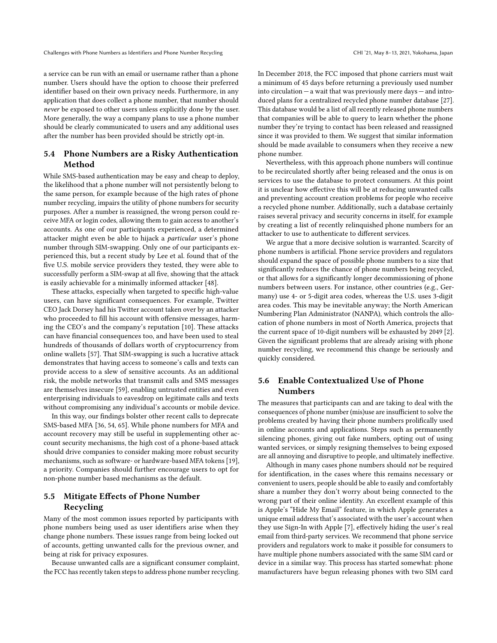Challenges with Phone Numbers as Identifiers and Phone Number Recycling CHI '21, May 8-13, 2021, Yokohama, Japan

a service can be run with an email or username rather than a phone number. Users should have the option to choose their preferred identifier based on their own privacy needs. Furthermore, in any application that does collect a phone number, that number should never be exposed to other users unless explicitly done by the user. More generally, the way a company plans to use a phone number should be clearly communicated to users and any additional uses after the number has been provided should be strictly opt-in.

# 5.4 Phone Numbers are a Risky Authentication Method

While SMS-based authentication may be easy and cheap to deploy, the likelihood that a phone number will not persistently belong to the same person, for example because of the high rates of phone number recycling, impairs the utility of phone numbers for security purposes. After a number is reassigned, the wrong person could receive MFA or login codes, allowing them to gain access to another's accounts. As one of our participants experienced, a determined attacker might even be able to hijack a particular user's phone number through SIM-swapping. Only one of our participants experienced this, but a recent study by Lee et al. found that of the five U.S. mobile service providers they tested, they were able to successfully perform a SIM-swap at all five, showing that the attack is easily achievable for a minimally informed attacker [\[48\]](#page-12-41).

These attacks, especially when targeted to specific high-value users, can have significant consequences. For example, Twitter CEO Jack Dorsey had his Twitter account taken over by an attacker who proceeded to fill his account with offensive messages, harming the CEO's and the company's reputation [\[10\]](#page-11-21). These attacks can have financial consequences too, and have been used to steal hundreds of thousands of dollars worth of cryptocurrency from online wallets [\[57\]](#page-12-21). That SIM-swapping is such a lucrative attack demonstrates that having access to someone's calls and texts can provide access to a slew of sensitive accounts. As an additional risk, the mobile networks that transmit calls and SMS messages are themselves insecure [\[59\]](#page-12-42), enabling untrusted entities and even enterprising individuals to eavesdrop on legitimate calls and texts without compromising any individual's accounts or mobile device.

In this way, our findings bolster other recent calls to deprecate SMS-based MFA [\[36,](#page-12-43) [54,](#page-12-44) [65\]](#page-12-19). While phone numbers for MFA and account recovery may still be useful in supplementing other account security mechanisms, the high cost of a phone-based attack should drive companies to consider making more robust security mechanisms, such as software- or hardware-based MFA tokens [\[19\]](#page-11-4), a priority. Companies should further encourage users to opt for non-phone number based mechanisms as the default.

# 5.5 Mitigate Effects of Phone Number Recycling

Many of the most common issues reported by participants with phone numbers being used as user identifiers arise when they change phone numbers. These issues range from being locked out of accounts, getting unwanted calls for the previous owner, and being at risk for privacy exposures.

Because unwanted calls are a significant consumer complaint, the FCC has recently taken steps to address phone number recycling.

In December 2018, the FCC imposed that phone carriers must wait a minimum of 45 days before returning a previously used number into circulation  $-$  a wait that was previously mere days  $-$  and introduced plans for a centralized recycled phone number database [\[27\]](#page-12-2). This database would be a list of all recently released phone numbers that companies will be able to query to learn whether the phone number they're trying to contact has been released and reassigned since it was provided to them. We suggest that similar information should be made available to consumers when they receive a new phone number.

Nevertheless, with this approach phone numbers will continue to be recirculated shortly after being released and the onus is on services to use the database to protect consumers. At this point it is unclear how effective this will be at reducing unwanted calls and preventing account creation problems for people who receive a recycled phone number. Additionally, such a database certainly raises several privacy and security concerns in itself, for example by creating a list of recently relinquished phone numbers for an attacker to use to authenticate to different services.

We argue that a more decisive solution is warranted. Scarcity of phone numbers is artificial. Phone service providers and regulators should expand the space of possible phone numbers to a size that significantly reduces the chance of phone numbers being recycled, or that allows for a significantly longer decommissioning of phone numbers between users. For instance, other countries (e.g., Germany) use 4- or 5-digit area codes, whereas the U.S. uses 3-digit area codes. This may be inevitable anyway; the North American Numbering Plan Administrator (NANPA), which controls the allocation of phone numbers in most of North America, projects that the current space of 10-digit numbers will be exhausted by 2049 [\[2\]](#page-11-22). Given the significant problems that are already arising with phone number recycling, we recommend this change be seriously and quickly considered.

# 5.6 Enable Contextualized Use of Phone Numbers

The measures that participants can and are taking to deal with the consequences of phone number (mis)use are insufficient to solve the problems created by having their phone numbers prolifically used in online accounts and applications. Steps such as permanently silencing phones, giving out fake numbers, opting out of using wanted services, or simply resigning themselves to being exposed are all annoying and disruptive to people, and ultimately ineffective.

Although in many cases phone numbers should not be required for identification, in the cases where this remains necessary or convenient to users, people should be able to easily and comfortably share a number they don't worry about being connected to the wrong part of their online identity. An excellent example of this is Apple's "Hide My Email" feature, in which Apple generates a unique email address that's associated with the user's account when they use Sign-In with Apple [\[7\]](#page-11-23), effectively hiding the user's real email from third-party services. We recommend that phone service providers and regulators work to make it possible for consumers to have multiple phone numbers associated with the same SIM card or device in a similar way. This process has started somewhat: phone manufacturers have begun releasing phones with two SIM card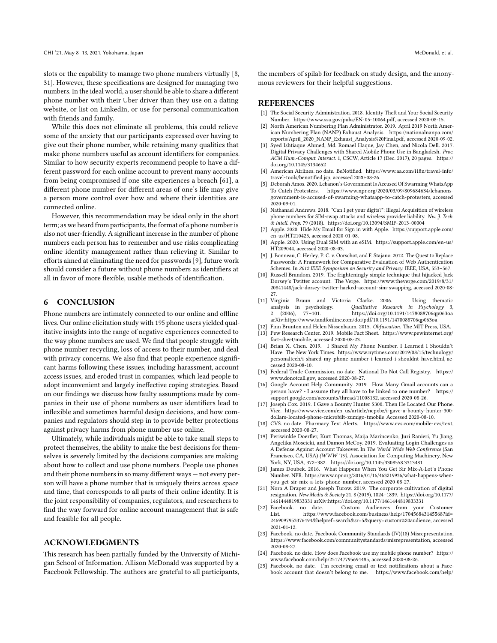slots or the capability to manage two phone numbers virtually [\[8,](#page-11-24) [31\]](#page-12-45). However, these specifications are designed for managing two numbers. In the ideal world, a user should be able to share a different phone number with their Uber driver than they use on a dating website, or list on LinkedIn, or use for personal communication with friends and family.

While this does not eliminate all problems, this could relieve some of the anxiety that our participants expressed over having to give out their phone number, while retaining many qualities that make phone numbers useful as account identifiers for companies. Similar to how security experts recommend people to have a different password for each online account to prevent many accounts from being compromised if one site experiences a breach [\[61\]](#page-12-46), a different phone number for different areas of one's life may give a person more control over how and where their identities are connected online.

However, this recommendation may be ideal only in the short term; as we heard from participants, the format of a phone number is also not user-friendly. A significant increase in the number of phone numbers each person has to remember and use risks complicating online identity management rather than relieving it. Similar to efforts aimed at eliminating the need for passwords [\[9\]](#page-11-3), future work should consider a future without phone numbers as identifiers at all in favor of more flexible, usable methods of identification.

#### 6 CONCLUSION

Phone numbers are intimately connected to our online and offline lives. Our online elicitation study with 195 phone users yielded qualitative insights into the range of negative experiences connected to the way phone numbers are used. We find that people struggle with phone number recycling, loss of access to their number, and deal with privacy concerns. We also find that people experience significant harms following these issues, including harassment, account access issues, and eroded trust in companies, which lead people to adopt inconvenient and largely ineffective coping strategies. Based on our findings we discuss how faulty assumptions made by companies in their use of phone numbers as user identifiers lead to inflexible and sometimes harmful design decisions, and how companies and regulators should step in to provide better protections against privacy harms from phone number use online.

Ultimately, while individuals might be able to take small steps to protect themselves, the ability to make the best decisions for themselves is severely limited by the decisions companies are making about how to collect and use phone numbers. People use phones and their phone numbers in so many different ways — not every person will have a phone number that is uniquely theirs across space and time, that corresponds to all parts of their online identity. It is the joint responsibility of companies, regulators, and researchers to find the way forward for online account management that is safe and feasible for all people.

## ACKNOWLEDGMENTS

This research has been partially funded by the University of Michigan School of Information. Allison McDonald was supported by a Facebook Fellowship. The authors are grateful to all participants,

the members of spilab for feedback on study design, and the anonymous reviewers for their helpful suggestions.

## **REFERENCES**

- <span id="page-11-20"></span>The Social Security Administration. 2018. Identity Theft and Your Social Security Number. [https://www.ssa.gov/pubs/EN-05-10064.pdf,](https://www.ssa.gov/pubs/EN-05-10064.pdf) accessed 2020-08-15.
- <span id="page-11-22"></span>North American Numbering Plan Administrator. 2019. April 2019 North American Numbering Plan (NANP) Exhaust Analysis. [https://nationalnanpa.com/](https://nationalnanpa.com/reports/April_2020_NANP_Exhaust_Analysis%20Final.pdf) [reports/April\\_2020\\_NANP\\_Exhaust\\_Analysis%20Final.pdf,](https://nationalnanpa.com/reports/April_2020_NANP_Exhaust_Analysis%20Final.pdf) accessed 2020-09-02.
- <span id="page-11-18"></span>Syed Ishtiaque Ahmed, Md. Romael Haque, Jay Chen, and Nicola Dell. 2017. Digital Privacy Challenges with Shared Mobile Phone Use in Bangladesh. Proc. ACM Hum.-Comput. Interact. 1, CSCW, Article 17 (Dec. 2017), 20 pages. [https://](https://doi.org/10.1145/3134652) [doi.org/10.1145/3134652](https://doi.org/10.1145/3134652)
- <span id="page-11-8"></span>[4] American Airlines. no date. BeNotified. [https://www.aa.com/i18n/travel-info/](https://www.aa.com/i18n/travel-info/travel-tools/benotified.jsp) [travel-tools/benotified.jsp,](https://www.aa.com/i18n/travel-info/travel-tools/benotified.jsp) accessed 2020-08-26.
- <span id="page-11-19"></span>[5] Deborah Amos. 2020. Lebanon's Government Is Accused Of Swarming WhatsApp To Catch Protesters. [https://www.npr.org/2020/03/09/809684634/lebanons](https://www.npr.org/2020/03/09/809684634/lebanons-government-is-accused-of-swarming-whatsapp-to-catch-protesters)[government-is-accused-of-swarming-whatsapp-to-catch-protesters,](https://www.npr.org/2020/03/09/809684634/lebanons-government-is-accused-of-swarming-whatsapp-to-catch-protesters) accessed 2020-09-01.
- <span id="page-11-6"></span>[6] Nathanael Andrews. 2018. "Can I get your digits?": Illegal Acquisition of wireless phone numbers for SIM-swap attacks and wireless provider liability. Nw. J. Tech. & Intell. Prop. 79 (2018).<https://doi.org/10.13094/SMIF-2013-00004>
- <span id="page-11-23"></span>[7] Apple. 2020. Hide My Email for Sign in with Apple. [https://support.apple.com/](https://support.apple.com/en-us/HT210425) [en-us/HT210425,](https://support.apple.com/en-us/HT210425) accessed 2020-01-08.
- <span id="page-11-24"></span>[8] Apple. 2020. Using Dual SIM with an eSIM. [https://support.apple.com/en-us/](https://support.apple.com/en-us/HT209044) [HT209044,](https://support.apple.com/en-us/HT209044) accessed 2020-08-03.
- <span id="page-11-3"></span>[9] J. Bonneau, C. Herley, P. C. v. Oorschot, and F. Stajano. 2012. The Quest to Replace Passwords: A Framework for Comparative Evaluation of Web Authentication Schemes. In 2012 IEEE Symposium on Security and Privacy. IEEE, USA, 553-567.
- <span id="page-11-21"></span>[10] Russell Brandom. 2019. The frighteningly simple technique that hijacked Jack Dorsey's Twitter account. The Verge. [https://www.theverge.com/2019/8/31/](https://www.theverge.com/2019/8/31/20841448/jack-dorsey-twitter-hacked-account-sim-swapping) [20841448/jack-dorsey-twitter-hacked-account-sim-swapping,](https://www.theverge.com/2019/8/31/20841448/jack-dorsey-twitter-hacked-account-sim-swapping) accessed 2020-08- 27.
- <span id="page-11-14"></span>[11] Virginia Braun and Victoria Clarke. 2006. Using thematic analysis in psychology. Qualitative Research in Psychology 3, 2 (2006), 77–101.<https://doi.org/10.1191/1478088706qp063oa> arXiv[:https://www.tandfonline.com/doi/pdf/10.1191/1478088706qp063oa](https://arxiv.org/abs/https://www.tandfonline.com/doi/pdf/10.1191/1478088706qp063oa)
- <span id="page-11-15"></span>[12] Finn Brunton and Helen Nissenbaum. 2015. Obfuscation. The MIT Press, USA.
- <span id="page-11-5"></span>[13] Pew Research Center. 2019. Mobile Fact Sheet. [https://www.pewinternet.org/](https://www.pewinternet.org/fact-sheet/mobile) [fact-sheet/mobile,](https://www.pewinternet.org/fact-sheet/mobile) accessed 2020-08-23.
- <span id="page-11-0"></span>[14] Brian X. Chen. 2019. I Shared My Phone Number. I Learned I Shouldn't Have. The New York Times. [https://www.nytimes.com/2019/08/15/technology/](https://www.nytimes.com/2019/08/15/technology/personaltech/i-shared-my-phone-number-i-learned-i-shouldnt-have.html) [personaltech/i-shared-my-phone-number-i-learned-i-shouldnt-have.html,](https://www.nytimes.com/2019/08/15/technology/personaltech/i-shared-my-phone-number-i-learned-i-shouldnt-have.html) accessed 2020-08-10.
- <span id="page-11-16"></span>[15] Federal Trade Commission. no date. National Do Not Call Registry. [https://](https://www.donotcall.gov) [www.donotcall.gov,](https://www.donotcall.gov) accessed 2020-08-27.
- <span id="page-11-13"></span>[16] Google Account Help Community. 2019. How Many Gmail accounts can a person have? - I assume they all have to be linked to one number? [https://](https://support.google.com/accounts/thread/11008132) [support.google.com/accounts/thread/11008132,](https://support.google.com/accounts/thread/11008132) accessed 2020-08-26.
- <span id="page-11-1"></span>[17] Joseph Cox. 2019. I Gave a Bounty Hunter \$300. Then He Located Our Phone. Vice. [https://www.vice.com/en\\_us/article/nepxbz/i-gave-a-bounty-hunter-300](https://www.vice.com/en_us/article/nepxbz/i-gave-a-bounty-hunter-300-dollars-located-phone-microbilt-zumigo-tmobile) [dollars-located-phone-microbilt-zumigo-tmobile](https://www.vice.com/en_us/article/nepxbz/i-gave-a-bounty-hunter-300-dollars-located-phone-microbilt-zumigo-tmobile) Accessed 2020-08-10.
- <span id="page-11-7"></span>[18] CVS. no date. Pharmacy Text Alerts. [https://www.cvs.com/mobile-cvs/text,](https://www.cvs.com/mobile-cvs/text) accessed 2020-08-27.
- <span id="page-11-4"></span>[19] Periwinkle Doerfler, Kurt Thomas, Maija Marincenko, Juri Ranieri, Yu Jiang, Angelika Moscicki, and Damon McCoy. 2019. Evaluating Login Challenges as A Defense Against Account Takeover. In The World Wide Web Conference (San Francisco, CA, USA) (WWW '19). Association for Computing Machinery, New York, NY, USA, 372–382.<https://doi.org/10.1145/3308558.3313481>
- <span id="page-11-2"></span>[20] James Doubek. 2016. What Happens When You Get Sir Mix-A-Lot's Phone Number. NPR. [https://www.npr.org/2016/01/16/463219936/what-happens-when](https://www.npr.org/2016/01/16/463219936/what-happens-when-you-get-sir-mix-a-lots-phone-number)[you-get-sir-mix-a-lots-phone-number,](https://www.npr.org/2016/01/16/463219936/what-happens-when-you-get-sir-mix-a-lots-phone-number) accessed 2020-08-27.
- <span id="page-11-17"></span>[21] Nora A Draper and Joseph Turow. 2019. The corporate cultivation of digital resignation. New Media & Society 21, 8 (2019), 1824–1839. [https://doi.org/10.1177/](https://doi.org/10.1177/1461444819833331) [1461444819833331](https://doi.org/10.1177/1461444819833331) arXiv[:https://doi.org/10.1177/1461444819833331](https://arxiv.org/abs/https://doi.org/10.1177/1461444819833331)
- <span id="page-11-9"></span>Facebook. no date. Custom Audiences from your Customer List.<br>
1.155. https://www.facebook.com/business/help/170456843145568?id= https://www.facebook.com/business/help/170456843145568?id= [2469097953376494&helpref=search&sr=5&query=custom%20audience,](https://www.facebook.com/business/help/170456843145568?id=2469097953376494&helpref=search&sr=5&query=custom%20audience) accessed 2021-01-12.
- <span id="page-11-11"></span>[23] Facebook. no date. Facebook Community Standards (IV)(18) Misrepresentation. [https://www.facebook.com/communitystandards/misrepresentation,](https://www.facebook.com/communitystandards/misrepresentation) accessed 2020-08-27.
- <span id="page-11-10"></span>[24] Facebook. no date. How does Facebook use my mobile phone number? [https://](https://www.facebook.com/help/251747795694485) [www.facebook.com/help/251747795694485,](https://www.facebook.com/help/251747795694485) accessed 2020-08-26.
- <span id="page-11-12"></span>[25] Facebook. no date. I'm receiving email or text notifications about a Facebook account that doesn't belong to me. [https://www.facebook.com/help/](https://www.facebook.com/help/225089214296643/?ref=u2u)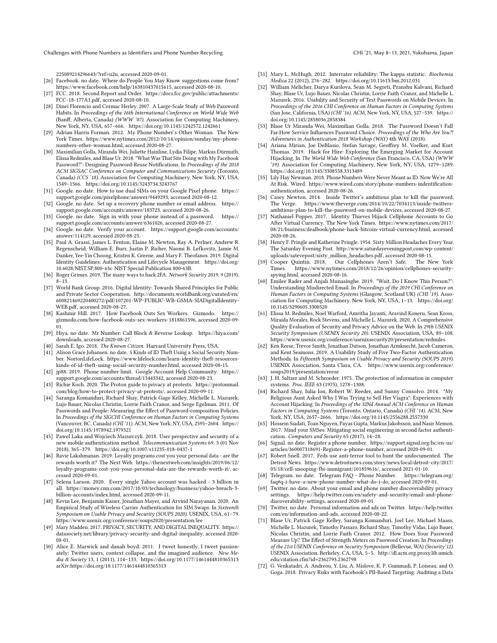Challenges with Phone Numbers as Identifiers and Phone Number Recycling CHI '21, May 8-13, 2021, Yokohama, Japan

[225089214296643/?ref=u2u,](https://www.facebook.com/help/225089214296643/?ref=u2u) accessed 2020-09-01.

- <span id="page-12-27"></span>[26] Facebook. no date. Where do People You May Know suggestions come from? [https://www.facebook.com/help/163810437015615,](https://www.facebook.com/help/163810437015615) accessed 2020-08-10.
- <span id="page-12-2"></span>[27] FCC. 2018. Second Report and Order. [https://docs.fcc.gov/public/attachments/](https://docs.fcc.gov/public/attachments/FCC-18-177A1.pdf) [FCC-18-177A1.pdf,](https://docs.fcc.gov/public/attachments/FCC-18-177A1.pdf) accessed 2020-08-10.
- <span id="page-12-6"></span>[28] Dinei Florencio and Cormac Herley. 2007. A Large-Scale Study of Web Password Habits. In Proceedings of the 16th International Conference on World Wide Web (Banff, Alberta, Canada) (WWW '07). Association for Computing Machinery, New York, NY, USA, 657–666.<https://doi.org/10.1145/1242572.1242661>
- <span id="page-12-3"></span>[29] Adrian Harris Forman. 2012. My Phone Number's Other Woman. The New York Times. [https://www.nytimes.com/2012/10/14/opinion/sunday/my-phone](https://www.nytimes.com/2012/10/14/opinion/sunday/my-phone-numbers-other-woman.html)[numbers-other-woman.html,](https://www.nytimes.com/2012/10/14/opinion/sunday/my-phone-numbers-other-woman.html) accessed 2020-08-27.
- <span id="page-12-7"></span>[30] Maximilian Golla, Miranda Wei, Juliette Hainline, Lydia Filipe, Markus Dürmuth, Elissa Redmiles, and Blase Ur. 2018. "What Was That Site Doing with My Facebook Password?": Designing Password-Reuse Notifications. In Proceedings of the 2018 ACM SIGSAC Conference on Computer and Communications Security (Toronto, Canada) (CCS '18). Association for Computing Machinery, New York, NY, USA, 1549–1566.<https://doi.org/10.1145/3243734.3243767>
- <span id="page-12-45"></span>[31] Google. no date. How to use dual SIMs on your Google Pixel phone. [https://](https://support.google.com/pixelphone/answer/9449293) [support.google.com/pixelphone/answer/9449293,](https://support.google.com/pixelphone/answer/9449293) accessed 2020-08-12.
- <span id="page-12-28"></span>[32] Google. no date. Set up a recovery phone number or email address. [https://](https://support.google.com/accounts/answer/183723) [support.google.com/accounts/answer/183723,](https://support.google.com/accounts/answer/183723) accessed 2020-08-26.
- <span id="page-12-14"></span>[33] Google. no date. Sign in with your phone instead of a password. [https://](https://support.google.com/accounts/answer/6361026) [support.google.com/accounts/answer/6361026,](https://support.google.com/accounts/answer/6361026) accessed 2020-08-27.
- <span id="page-12-29"></span>[34] Google. no date. Verify your account. [https://support.google.com/accounts/](https://support.google.com/accounts/answer/114129) [answer/114129,](https://support.google.com/accounts/answer/114129) accessed 2020-08-25.
- <span id="page-12-20"></span>[35] Paul A. Grassi, James L. Fenton, Elaine M. Newton, Ray A. Perlner, Andrew R. Regenscheid, William E. Burr, Justin P. Richer, Naomi B. Lefkovitz, Jamie M. Danker, Yee-Yin Choong, Kristen K. Greene, and Mary F. Theofanos. 2019. Digital Identity Guidelines: Authentication and Lifecycle Management. [https://doi.org/](https://doi.org/10.6028/NIST.SP.800-63c) [10.6028/NIST.SP.800-63c](https://doi.org/10.6028/NIST.SP.800-63c) NIST Special Publication 800-63B.
- <span id="page-12-43"></span>[36] Roger Grimes. 2019. The many ways to hack 2FA. Network Security 2019, 9 (2019), 8–13.
- <span id="page-12-4"></span>[37] World Bank Group. 2016. Digital Identity: Towards Shared Principles for Public and Private Sector Cooperation. [http://documents.worldbank.org/curated/en/](http://documents.worldbank.org/curated/en/600821469220400272/pdf/107201-WP-PUBLIC-WB-GSMA-SIADigitalIdentity-WEB.pdf) [600821469220400272/pdf/107201-WP-PUBLIC-WB-GSMA-SIADigitalIdentity-](http://documents.worldbank.org/curated/en/600821469220400272/pdf/107201-WP-PUBLIC-WB-GSMA-SIADigitalIdentity-WEB.pdf)[WEB.pdf,](http://documents.worldbank.org/curated/en/600821469220400272/pdf/107201-WP-PUBLIC-WB-GSMA-SIADigitalIdentity-WEB.pdf) accessed 2020-08-27.
- <span id="page-12-34"></span>[38] Kashmir Hill. 2017. How Facebook Outs Sex Workers. Gizmodo. [https://](https://gizmodo.com/how-facebook-outs-sex-workers-1818861596) [gizmodo.com/how-facebook-outs-sex-workers-1818861596,](https://gizmodo.com/how-facebook-outs-sex-workers-1818861596) accessed 2020-09- 01.
- <span id="page-12-33"></span>[39] Hiya. no date. Mr Number: Call Block & Reverse Lookup. [https://hiya.com/](https://hiya.com/downloads) [downloads,](https://hiya.com/downloads) accessed 2020-08-27.
- <span id="page-12-38"></span>[40] Sarah E. Igo. 2018. The Known Citizen. Harvard University Press, USA.
- <span id="page-12-39"></span>[41] Alison Grace Johansen. no date. 5 Kinds of ID Theft Using a Social Security Number. NortonLifeLock. [https://www.lifelock.com/learn-identity-theft-resources](https://www.lifelock.com/learn-identity-theft-resources-kinds-of-id-theft-using-social-security-number.html)[kinds-of-id-theft-using-social-security-number.html,](https://www.lifelock.com/learn-identity-theft-resources-kinds-of-id-theft-using-social-security-number.html) accessed 2020-08-15.
- <span id="page-12-30"></span>[42] jp88. 2019. Phone number limit. Google Account Help Community. [https://](https://support.google.com/accounts/thread/13443342) [support.google.com/accounts/thread/13443342,](https://support.google.com/accounts/thread/13443342) accessed 2020-08-23.
- <span id="page-12-35"></span>[43] Richie Koch. 2020. The Proton guide to privacy at protests. [https://protonmail.](https://protonmail.com/blog/how-to-protect-privacy-at-protests/) [com/blog/how-to-protect-privacy-at-protests/,](https://protonmail.com/blog/how-to-protect-privacy-at-protests/) accessed 2020-09-11.
- <span id="page-12-10"></span>[44] Saranga Komanduri, Richard Shay, Patrick Gage Kelley, Michelle L. Mazurek, Lujo Bauer, Nicolas Christin, Lorrie Faith Cranor, and Serge Egelman. 2011. Of Passwords and People: Measuring the Effect of Password-composition Policies. In Proceedings of the SIGCHI Conference on Human Factors in Computing Systems (Vancouver, BC, Canada) (CHI '11). ACM, New York, NY, USA, 2595–2604. [https://](https://doi.org/10.1145/1978942.1979321) [doi.org/10.1145/1978942.1979321](https://doi.org/10.1145/1978942.1979321)
- <span id="page-12-17"></span>[45] Pawel Laka and Wojciech Mazurczyk. 2018. User perspective and security of a new mobile authentication method. Telecommunication Systems 69, 3 (01 Nov 2018), 365–379.<https://doi.org/10.1007/s11235-018-0437-1>
- <span id="page-12-23"></span>[46] Ravie Lakshmanan. 2019. Loyalty programs cost you your personal data - are the rewards worth it? The Next Web. [https://thenextweb.com/insights/2019/06/12/](https://thenextweb.com/insights/2019/06/12/loyalty-programs-cost-you-your-personal-data-are-the-rewards-worth-it/) [loyalty-programs-cost-you-your-personal-data-are-the-rewards-worth-it/,](https://thenextweb.com/insights/2019/06/12/loyalty-programs-cost-you-your-personal-data-are-the-rewards-worth-it/) accessed 2020-09-01.
- <span id="page-12-8"></span>[47] Selena Larson. 2020. Every single Yahoo account was hacked - 3 billion in all. [https://money.cnn.com/2017/10/03/technology/business/yahoo-breach-3](https://money.cnn.com/2017/10/03/technology/business/yahoo-breach-3-billion-accounts/index.html) [billion-accounts/index.html,](https://money.cnn.com/2017/10/03/technology/business/yahoo-breach-3-billion-accounts/index.html) accessed 2020-09-11.
- <span id="page-12-41"></span>[48] Kevin Lee, Benjamin Kaiser, Jonathan Mayer, and Arvind Narayanan. 2020. An Empirical Study of Wireless Carrier Authentication for SIM Swaps. In Sixteenth Symposium on Usable Privacy and Security (SOUPS 2020). USENIX, USA, 61–79. <https://www.usenix.org/conference/soups2020/presentation/lee>
- <span id="page-12-32"></span>[49] Mary Madden. 2017. PRIVACY, SECURITY, AND DIGITAL INEQUALITY. [https://](https://datasociety.net/library/privacy-security-and-digital-inequality) [datasociety.net/library/privacy-security-and-digital-inequality,](https://datasociety.net/library/privacy-security-and-digital-inequality) accessed 2020- 08-01.
- <span id="page-12-40"></span>[50] Alice E. Marwick and danah boyd. 2011. I tweet honestly, I tweet passionately: Twitter users, context collapse, and the imagined audience. New Media & Society 13, 1 (2011), 114–133.<https://doi.org/10.1177/1461444810365313> arXiv[:https://doi.org/10.1177/1461444810365313](https://arxiv.org/abs/https://doi.org/10.1177/1461444810365313)
- <span id="page-12-31"></span>[51] Mary L. McHugh. 2012. Interrater reliability: The kappa statistic. Biochemia Medica 22 (2012), 276–282.<https://doi.org/10.11613/bm.2012.031>
- <span id="page-12-13"></span>[52] William Melicher, Darya Kurilova, Sean M. Segreti, Pranshu Kalvani, Richard Shay, Blase Ur, Lujo Bauer, Nicolas Christin, Lorrie Faith Cranor, and Michelle L. Mazurek. 2016. Usability and Security of Text Passwords on Mobile Devices. In Proceedings of the 2016 CHI Conference on Human Factors in Computing Systems (San Jose, California, USA) (CHI '16). ACM, New York, NY, USA, 527–539. [https://](https://doi.org/10.1145/2858036.2858384) [doi.org/10.1145/2858036.2858384](https://doi.org/10.1145/2858036.2858384)
- <span id="page-12-12"></span>[53] Blase Ur Miranda Wei, Maximilian Golla. 2018. The Password Doesn't Fall Far:How Service Influences Password Choice. Proceedings of the Who Are You?! Adventures in Authentication 2018 Workshop (WAY) 4th WAY (2018).
- <span id="page-12-44"></span>[54] Ariana Mirian, Joe DeBlasio, Stefan Savage, Geoffrey M. Voelker, and Kurt Thomas. 2019. Hack for Hire: Exploring the Emerging Market for Account Hijacking. In The World Wide Web Conference (San Francisco, CA, USA) (WWW '19). Association for Computing Machinery, New York, NY, USA, 1279–1289. <https://doi.org/10.1145/3308558.3313489>
- <span id="page-12-1"></span>[55] Lily Hay Newman. 2018. Phone Numbers Were Never Meant as ID. Now We're All At Risk. Wired. [https://www.wired.com/story/phone-numbers-indentification](https://www.wired.com/story/phone-numbers-indentification-authentication)[authentication,](https://www.wired.com/story/phone-numbers-indentification-authentication) accessed 2020-08-26.
- <span id="page-12-15"></span>[56] Casey Newton. 2014. Inside Twitter's ambitious plan to kill the password. The Verge. [https://www.theverge.com/2014/10/22/7034113/inside-twitters](https://www.theverge.com/2014/10/22/7034113/inside-twitters-ambitious-plan-to-kill-the-password-on-mobile-devices)[ambitious-plan-to-kill-the-password-on-mobile-devices,](https://www.theverge.com/2014/10/22/7034113/inside-twitters-ambitious-plan-to-kill-the-password-on-mobile-devices) accessed 2020-08-27.
- <span id="page-12-21"></span>[57] Nathaniel Popper. 2017. Identity Thieves Hijack Cellphone Accounts to Go After Virtual Currency. The New York Times. [https://www.nytimes.com/2017/](https://www.nytimes.com/2017/08/21/business/dealbook/phone-hack-bitcoin-virtual-currency.html) [08/21/business/dealbook/phone-hack-bitcoin-virtual-currency.html,](https://www.nytimes.com/2017/08/21/business/dealbook/phone-hack-bitcoin-virtual-currency.html) accessed 2020-08-26.
- <span id="page-12-37"></span>[58] Henry F. Pringle and Katherine Pringle. 1954. Sixty Million Headaches Every Year. The Saturday Evening Post. [http://www.saturdayeveningpost.com/wp-content/](http://www.saturdayeveningpost.com/wp-content/uploads/satevepost/sixty_million_headaches.pdf) [uploads/satevepost/sixty\\_million\\_headaches.pdf,](http://www.saturdayeveningpost.com/wp-content/uploads/satevepost/sixty_million_headaches.pdf) accessed 2020-08-15.
- <span id="page-12-42"></span>[59] Cooper Ouintin. 2018. Our Cellphones Aren't Safe. Times. [https://www.nytimes.com/2018/12/26/opinion/cellphones-security](https://www.nytimes.com/2018/12/26/opinion/cellphones-security-spying.html)[spying.html,](https://www.nytimes.com/2018/12/26/opinion/cellphones-security-spying.html) accessed 2020-08-16.
- <span id="page-12-16"></span>[60] Emilee Rader and Anjali Munasinghe. 2019. "Wait, Do I Know This Person?": Understanding Misdirected Email. In Proceedings of the 2019 CHI Conference on Human Factors in Computing Systems (Glasgow, Scotland UK) (CHI '19). Association for Computing Machinery, New York, NY, USA, 1–13. [https://doi.org/](https://doi.org/10.1145/3290605.3300520) [10.1145/3290605.3300520](https://doi.org/10.1145/3290605.3300520)
- <span id="page-12-46"></span>[61] Elissa M. Redmiles, Noel Warford, Amritha Jayanti, Aravind Koneru, Sean Kross, Miraida Morales, Rock Stevens, and Michelle L. Mazurek. 2020. A Comprehensive Quality Evaluation of Security and Privacy Advice on the Web. In 29th USENIX Security Symposium (USENIX Security 20). USENIX Association, USA, 89–108. <https://www.usenix.org/conference/usenixsecurity20/presentation/redmiles>
- <span id="page-12-18"></span>[62] Ken Reese, Trevor Smith, Jonathan Dutson, Jonathan Armknecht, Jacob Cameron, and Kent Seamons. 2019. A Usability Study of Five Two-Factor Authentication Methods. In Fifteenth Symposium on Usable Privacy and Security (SOUPS 2019). USENIX Association, Santa Clara, CA. [https://www.usenix.org/conference/](https://www.usenix.org/conference/soups2019/presentation/reese) [soups2019/presentation/reese](https://www.usenix.org/conference/soups2019/presentation/reese)
- <span id="page-12-5"></span>[63] J. H. Saltzer and M. Schroeder. 1975. The protection of information in computer systems. Proc. IEEE 63 (1975), 1278–1308.
- <span id="page-12-9"></span>[64] Richard Shay, Iulia Ion, Robert W. Reeder, and Sunny Consolvo. 2014. "My Religious Aunt Asked Why I Was Trying to Sell Her Viagra": Experiences with Account Hijacking. In Proceedings of the 32Nd Annual ACM Conference on Human Factors in Computing Systems (Toronto, Ontario, Canada) (CHI '14). ACM, New York, NY, USA, 2657–2666.<https://doi.org/10.1145/2556288.2557330>
- <span id="page-12-19"></span>[65] Hossein Siadati, Toan Nguyen, Payas Gupta, Markus Jakobsson, and Nasir Memon. 2017. Mind your SMSes: Mitigating social engineering in second factor authentication. Computers and Security 65 (2017), 14–28.
- <span id="page-12-25"></span>[66] Signal. no date. Register a phone number. [https://support.signal.org/hc/en-us/](https://support.signal.org/hc/en-us/articles/360007318691-Register-a-phone-number) [articles/360007318691-Register-a-phone-number,](https://support.signal.org/hc/en-us/articles/360007318691-Register-a-phone-number) accessed 2020-09-01.
- <span id="page-12-36"></span>[67] Robert Snell. 2017. Feds use anti-terror tool to hunt the undocumented. The Detroit News. [https://www.detroitnews.com/story/news/local/detroit-city/2017/](https://www.detroitnews.com/story/news/local/detroit-city/2017/05/18/cell-snooping-fbi-immigrant/101859616/) [05/18/cell-snooping-fbi-immigrant/101859616/,](https://www.detroitnews.com/story/news/local/detroit-city/2017/05/18/cell-snooping-fbi-immigrant/101859616/) accessed 2021-01-10.
- <span id="page-12-26"></span>[68] Telegram. no date. Telegram FAQ - Phone Number. [https://telegram.org/](https://telegram.org/faq#q-i-have-a-new-phone-number-what-do-i-do) [faq#q-i-have-a-new-phone-number-what-do-i-do,](https://telegram.org/faq#q-i-have-a-new-phone-number-what-do-i-do) accessed 2020-09-01.
- <span id="page-12-24"></span>[69] Twitter. no date. About your email and phone number discoverability privacy settings. [https://help.twitter.com/en/safety-and-security/email-and-phone](https://help.twitter.com/en/safety-and-security/email-and-phone-discoverability-settings)[discoverability-settings,](https://help.twitter.com/en/safety-and-security/email-and-phone-discoverability-settings) accessed 2020-09-01.
- <span id="page-12-22"></span>[70] Twitter. no date. Personal information and ads on Twitter. [https://help.twitter.](https://help.twitter.com/en/information-and-ads) [com/en/information-and-ads,](https://help.twitter.com/en/information-and-ads) accessed 2020-08-22.
- <span id="page-12-11"></span>[71] Blase Ur, Patrick Gage Kelley, Saranga Komanduri, Joel Lee, Michael Maass, Michelle L. Mazurek, Timothy Passaro, Richard Shay, Timothy Vidas, Lujo Bauer, Nicolas Christin, and Lorrie Faith Cranor. 2012. How Does Your Password Measure Up? The Effect of Strength Meters on Password Creation. In Proceedings of the 21st USENIX Conference on Security Symposium (Bellevue, WA) (Security'12). USENIX Association, Berkeley, CA, USA, 5–5. [http://dl.acm.org.proxy.lib.umich.](http://dl.acm.org.proxy.lib.umich.edu/citation.cfm?id=2362793.2362798) [edu/citation.cfm?id=2362793.2362798](http://dl.acm.org.proxy.lib.umich.edu/citation.cfm?id=2362793.2362798)
- <span id="page-12-0"></span>[72] G. Venkatadri, A. Andreou, Y. Liu, A. Mislove, K. P. Gummadi, P. Loiseau, and O. Goga. 2018. Privacy Risks with Facebook's PII-Based Targeting: Auditing a Data